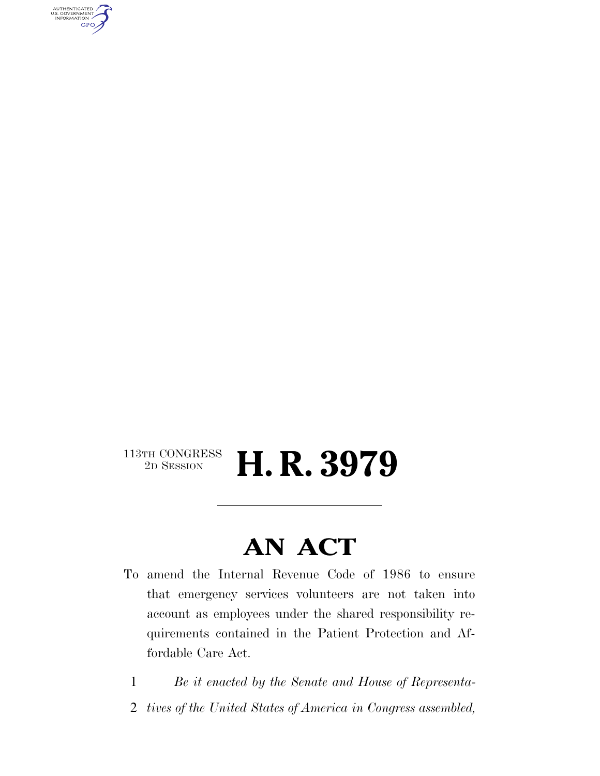AUTHENTICATED<br>U.S. GOVERNMENT<br>INFORMATION **GPO** 

#### $\begin{array}{c} \textbf{113TH CONGRESS} \\ \textbf{2D SESION} \end{array}$ 2D SESSION **H. R. 3979**

### **AN ACT**

- To amend the Internal Revenue Code of 1986 to ensure that emergency services volunteers are not taken into account as employees under the shared responsibility requirements contained in the Patient Protection and Affordable Care Act.
	- 1 *Be it enacted by the Senate and House of Representa-*
	- 2 *tives of the United States of America in Congress assembled,*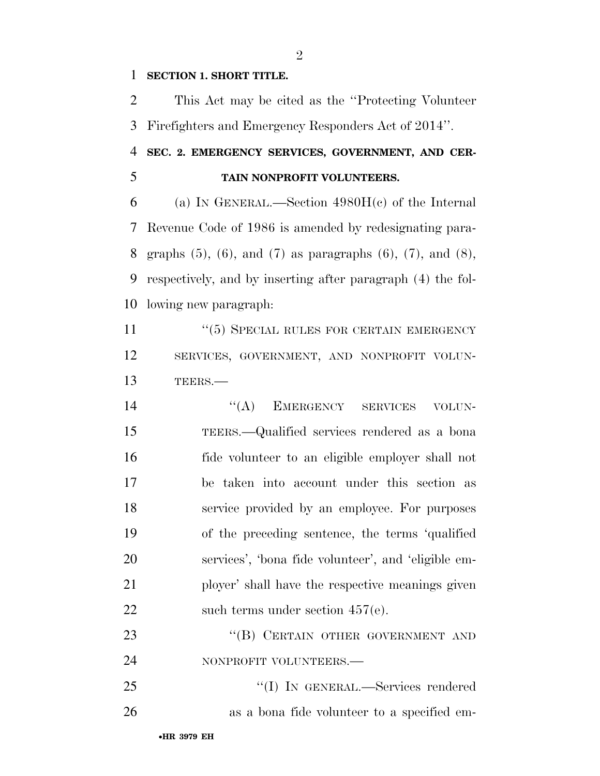#### **SECTION 1. SHORT TITLE.**

 This Act may be cited as the ''Protecting Volunteer Firefighters and Emergency Responders Act of 2014''.

#### **SEC. 2. EMERGENCY SERVICES, GOVERNMENT, AND CER-TAIN NONPROFIT VOLUNTEERS.**

 (a) IN GENERAL.—Section 4980H(c) of the Internal Revenue Code of 1986 is amended by redesignating para- graphs (5), (6), and (7) as paragraphs (6), (7), and (8), respectively, and by inserting after paragraph (4) the fol-lowing new paragraph:

11 <sup>''</sup>(5) SPECIAL RULES FOR CERTAIN EMERGENCY SERVICES, GOVERNMENT, AND NONPROFIT VOLUN-TEERS.—

14 "(A) EMERGENCY SERVICES VOLUN- TEERS.—Qualified services rendered as a bona fide volunteer to an eligible employer shall not be taken into account under this section as service provided by an employee. For purposes of the preceding sentence, the terms 'qualified services', 'bona fide volunteer', and 'eligible em- ployer' shall have the respective meanings given 22 such terms under section 457(e).

23 "(B) CERTAIN OTHER GOVERNMENT AND 24 NONPROFIT VOLUNTEERS.

 ''(I) IN GENERAL.—Services rendered as a bona fide volunteer to a specified em-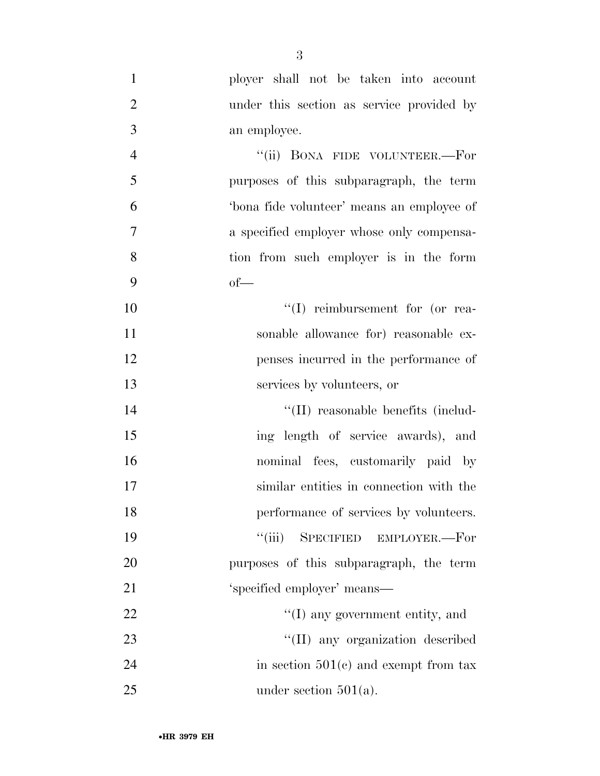| $\mathbf{1}$   | ployer shall not be taken into account     |
|----------------|--------------------------------------------|
| $\overline{2}$ | under this section as service provided by  |
| 3              | an employee.                               |
| $\overline{4}$ | "(ii) BONA FIDE VOLUNTEER.—For             |
| 5              | purposes of this subparagraph, the term    |
| 6              | 'bona fide volunteer' means an employee of |
| 7              | a specified employer whose only compensa-  |
| 8              | tion from such employer is in the form     |
| 9              | $of$ —                                     |
| 10             | $\lq\lq$ reimbursement for (or rea-        |
| 11             | sonable allowance for) reasonable ex-      |
| 12             | penses incurred in the performance of      |
| 13             | services by volunteers, or                 |
| 14             | "(II) reasonable benefits (includ-         |
| 15             | ing length of service awards), and         |
| 16             | nominal fees, customarily paid by          |
| 17             | similar entities in connection with the    |
| 18             | performance of services by volunteers.     |
| 19             | ``(iii)<br>SPECIFIED EMPLOYER.-For         |
| 20             | purposes of this subparagraph, the term    |
| 21             | 'specified employer' means-                |
| 22             | "(I) any government entity, and            |
| 23             | "(II) any organization described           |
| 24             | in section $501(c)$ and exempt from tax    |
| 25             | under section $501(a)$ .                   |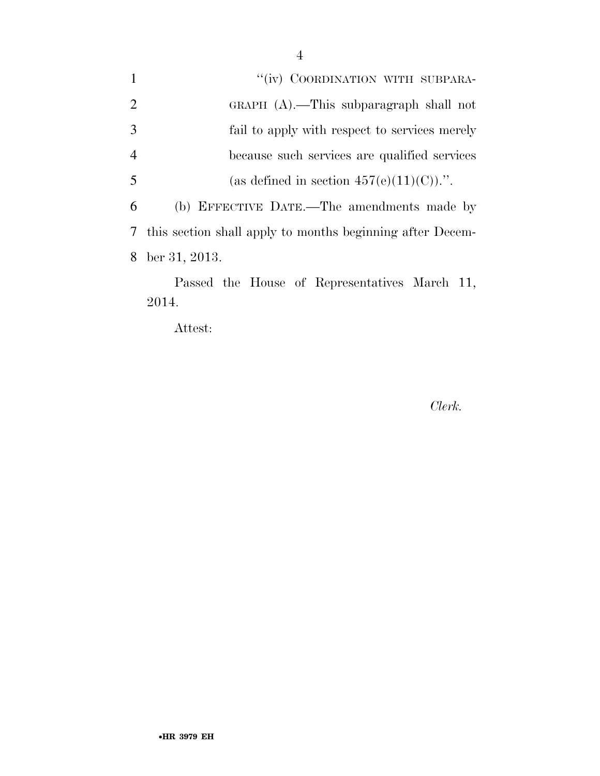1 ''(iv) COORDINATION WITH SUBPARA- GRAPH (A).—This subparagraph shall not fail to apply with respect to services merely because such services are qualified services 5 (as defined in section  $457(e)(11)(C)$ ).". (b) EFFECTIVE DATE.—The amendments made by this section shall apply to months beginning after Decem-ber 31, 2013.

Passed the House of Representatives March 11, 2014.

Attest:

*Clerk.*